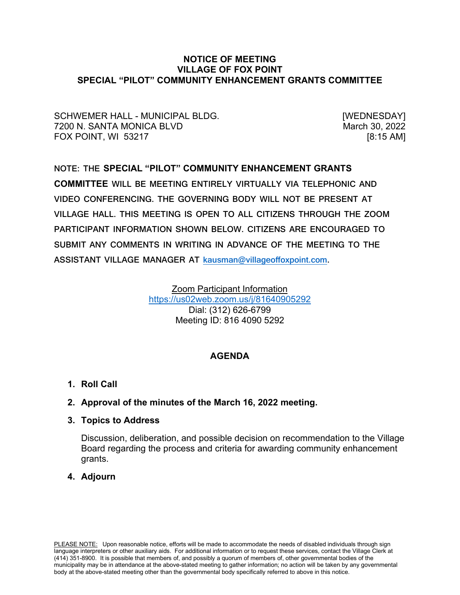## **NOTICE OF MEETING VILLAGE OF FOX POINT SPECIAL "PILOT" COMMUNITY ENHANCEMENT GRANTS COMMITTEE**

SCHWEMER HALL - MUNICIPAL BLDG. [WEDNESDAY] 7200 N. SANTA MONICA BLVD **March 30, 2022** FOX POINT, WI 53217 [8:15 AM]

# **NOTE: THE SPECIAL "PILOT" COMMUNITY ENHANCEMENT GRANTS COMMITTEE WILL BE MEETING ENTIRELY VIRTUALLY VIA TELEPHONIC AND VIDEO CONFERENCING. THE GOVERNING BODY WILL NOT BE PRESENT AT VILLAGE HALL. THIS MEETING IS OPEN TO ALL CITIZENS THROUGH THE ZOOM PARTICIPANT INFORMATION SHOWN BELOW. CITIZENS ARE ENCOURAGED TO SUBMIT ANY COMMENTS IN WRITING IN ADVANCE OF THE MEETING TO THE ASSISTANT VILLAGE MANAGER AT [kausman@villageoffoxpoint.com.](mailto:kausman@villageoffoxpoint.com)**

Zoom Participant Information <https://us02web.zoom.us/j/81640905292> Dial: (312) 626-6799 Meeting ID: 816 4090 5292

# **AGENDA**

**1. Roll Call**

# **2. Approval of the minutes of the March 16, 2022 meeting.**

**3. Topics to Address**

Discussion, deliberation, and possible decision on recommendation to the Village Board regarding the process and criteria for awarding community enhancement grants.

# **4. Adjourn**

PLEASE NOTE: Upon reasonable notice, efforts will be made to accommodate the needs of disabled individuals through sign language interpreters or other auxiliary aids. For additional information or to request these services, contact the Village Clerk at (414) 351-8900. It is possible that members of, and possibly a quorum of members of, other governmental bodies of the municipality may be in attendance at the above-stated meeting to gather information; no action will be taken by any governmental body at the above-stated meeting other than the governmental body specifically referred to above in this notice.